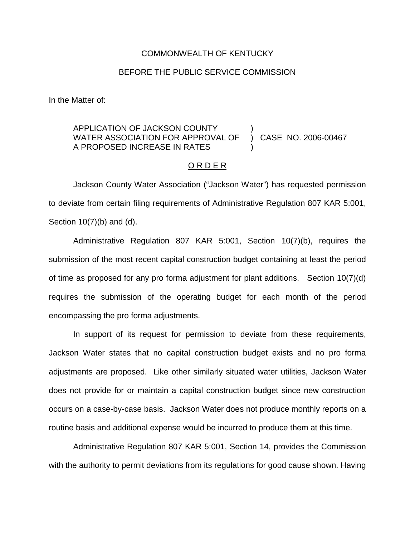## COMMONWEALTH OF KENTUCKY

## BEFORE THE PUBLIC SERVICE COMMISSION

In the Matter of:

## APPLICATION OF JACKSON COUNTY WATER ASSOCIATION FOR APPROVAL OF A PROPOSED INCREASE IN RATES ) ) CASE NO. 2006-00467 )

## O R D E R

Jackson County Water Association ("Jackson Water") has requested permission to deviate from certain filing requirements of Administrative Regulation 807 KAR 5:001, Section 10(7)(b) and (d).

Administrative Regulation 807 KAR 5:001, Section 10(7)(b), requires the submission of the most recent capital construction budget containing at least the period of time as proposed for any pro forma adjustment for plant additions. Section 10(7)(d) requires the submission of the operating budget for each month of the period encompassing the pro forma adjustments.

In support of its request for permission to deviate from these requirements, Jackson Water states that no capital construction budget exists and no pro forma adjustments are proposed. Like other similarly situated water utilities, Jackson Water does not provide for or maintain a capital construction budget since new construction occurs on a case-by-case basis. Jackson Water does not produce monthly reports on a routine basis and additional expense would be incurred to produce them at this time.

Administrative Regulation 807 KAR 5:001, Section 14, provides the Commission with the authority to permit deviations from its regulations for good cause shown. Having